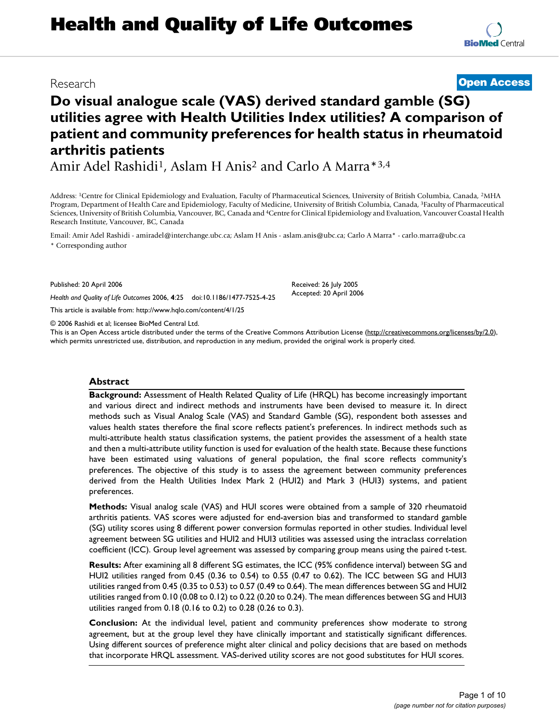# **Health and Quality of Life Outcomes**

## **Do visual analogue scale (VAS) derived standard gamble (SG) utilities agree with Health Utilities Index utilities? A comparison of patient and community preferences for health status in rheumatoid arthritis patients**

Amir Adel Rashidi<sup>1</sup>, Aslam H Anis<sup>2</sup> and Carlo A Marra\*<sup>3,4</sup>

Address: 1Centre for Clinical Epidemiology and Evaluation, Faculty of Pharmaceutical Sciences, University of British Columbia, Canada, 2MHA Program, Department of Health Care and Epidemiology, Faculty of Medicine, University of British Columbia, Canada, 3Faculty of Pharmaceutical Sciences, University of British Columbia, Vancouver, BC, Canada and 4Centre for Clinical Epidemiology and Evaluation, Vancouver Coastal Health Research Institute, Vancouver, BC, Canada

Email: Amir Adel Rashidi - amiradel@interchange.ubc.ca; Aslam H Anis - aslam.anis@ubc.ca; Carlo A Marra\* - carlo.marra@ubc.ca \* Corresponding author

Published: 20 April 2006

*Health and Quality of Life Outcomes* 2006, **4**:25 doi:10.1186/1477-7525-4-25

[This article is available from: http://www.hqlo.com/content/4/1/25](http://www.hqlo.com/content/4/1/25)

© 2006 Rashidi et al; licensee BioMed Central Ltd.

This is an Open Access article distributed under the terms of the Creative Commons Attribution License [\(http://creativecommons.org/licenses/by/2.0\)](http://creativecommons.org/licenses/by/2.0), which permits unrestricted use, distribution, and reproduction in any medium, provided the original work is properly cited.

#### **Abstract**

**Background:** Assessment of Health Related Quality of Life (HRQL) has become increasingly important and various direct and indirect methods and instruments have been devised to measure it. In direct methods such as Visual Analog Scale (VAS) and Standard Gamble (SG), respondent both assesses and values health states therefore the final score reflects patient's preferences. In indirect methods such as multi-attribute health status classification systems, the patient provides the assessment of a health state and then a multi-attribute utility function is used for evaluation of the health state. Because these functions have been estimated using valuations of general population, the final score reflects community's preferences. The objective of this study is to assess the agreement between community preferences derived from the Health Utilities Index Mark 2 (HUI2) and Mark 3 (HUI3) systems, and patient preferences.

**Methods:** Visual analog scale (VAS) and HUI scores were obtained from a sample of 320 rheumatoid arthritis patients. VAS scores were adjusted for end-aversion bias and transformed to standard gamble (SG) utility scores using 8 different power conversion formulas reported in other studies. Individual level agreement between SG utilities and HUI2 and HUI3 utilities was assessed using the intraclass correlation coefficient (ICC). Group level agreement was assessed by comparing group means using the paired t-test.

**Results:** After examining all 8 different SG estimates, the ICC (95% confidence interval) between SG and HUI2 utilities ranged from 0.45 (0.36 to 0.54) to 0.55 (0.47 to 0.62). The ICC between SG and HUI3 utilities ranged from 0.45 (0.35 to 0.53) to 0.57 (0.49 to 0.64). The mean differences between SG and HUI2 utilities ranged from 0.10 (0.08 to 0.12) to 0.22 (0.20 to 0.24). The mean differences between SG and HUI3 utilities ranged from 0.18 (0.16 to 0.2) to 0.28 (0.26 to 0.3).

**Conclusion:** At the individual level, patient and community preferences show moderate to strong agreement, but at the group level they have clinically important and statistically significant differences. Using different sources of preference might alter clinical and policy decisions that are based on methods that incorporate HRQL assessment. VAS-derived utility scores are not good substitutes for HUI scores.

Received: 26 July 2005 Accepted: 20 April 2006

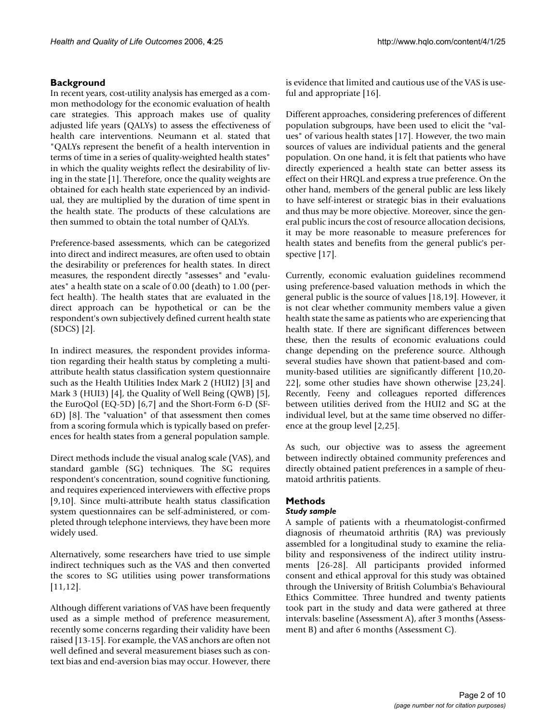#### **Background**

In recent years, cost-utility analysis has emerged as a common methodology for the economic evaluation of health care strategies. This approach makes use of quality adjusted life years (QALYs) to assess the effectiveness of health care interventions. Neumann et al. stated that "QALYs represent the benefit of a health intervention in terms of time in a series of quality-weighted health states" in which the quality weights reflect the desirability of living in the state [1]. Therefore, once the quality weights are obtained for each health state experienced by an individual, they are multiplied by the duration of time spent in the health state. The products of these calculations are then summed to obtain the total number of QALYs.

Preference-based assessments, which can be categorized into direct and indirect measures, are often used to obtain the desirability or preferences for health states. In direct measures, the respondent directly "assesses" and "evaluates" a health state on a scale of 0.00 (death) to 1.00 (perfect health). The health states that are evaluated in the direct approach can be hypothetical or can be the respondent's own subjectively defined current health state (SDCS) [2].

In indirect measures, the respondent provides information regarding their health status by completing a multiattribute health status classification system questionnaire such as the Health Utilities Index Mark 2 (HUI2) [3] and Mark 3 (HUI3) [4], the Quality of Well Being (QWB) [5], the EuroQol (EQ-5D) [6,7] and the Short-Form 6-D (SF-6D) [8]. The "valuation" of that assessment then comes from a scoring formula which is typically based on preferences for health states from a general population sample.

Direct methods include the visual analog scale (VAS), and standard gamble (SG) techniques. The SG requires respondent's concentration, sound cognitive functioning, and requires experienced interviewers with effective props [9,10]. Since multi-attribute health status classification system questionnaires can be self-administered, or completed through telephone interviews, they have been more widely used.

Alternatively, some researchers have tried to use simple indirect techniques such as the VAS and then converted the scores to SG utilities using power transformations [11,12].

Although different variations of VAS have been frequently used as a simple method of preference measurement, recently some concerns regarding their validity have been raised [13-15]. For example, the VAS anchors are often not well defined and several measurement biases such as context bias and end-aversion bias may occur. However, there is evidence that limited and cautious use of the VAS is useful and appropriate [16].

Different approaches, considering preferences of different population subgroups, have been used to elicit the "values" of various health states [17]. However, the two main sources of values are individual patients and the general population. On one hand, it is felt that patients who have directly experienced a health state can better assess its effect on their HRQL and express a true preference. On the other hand, members of the general public are less likely to have self-interest or strategic bias in their evaluations and thus may be more objective. Moreover, since the general public incurs the cost of resource allocation decisions, it may be more reasonable to measure preferences for health states and benefits from the general public's perspective [17].

Currently, economic evaluation guidelines recommend using preference-based valuation methods in which the general public is the source of values [18,19]. However, it is not clear whether community members value a given health state the same as patients who are experiencing that health state. If there are significant differences between these, then the results of economic evaluations could change depending on the preference source. Although several studies have shown that patient-based and community-based utilities are significantly different [10,20- 22], some other studies have shown otherwise [23,24]. Recently, Feeny and colleagues reported differences between utilities derived from the HUI2 and SG at the individual level, but at the same time observed no difference at the group level [2,25].

As such, our objective was to assess the agreement between indirectly obtained community preferences and directly obtained patient preferences in a sample of rheumatoid arthritis patients.

#### **Methods**

#### *Study sample*

A sample of patients with a rheumatologist-confirmed diagnosis of rheumatoid arthritis (RA) was previously assembled for a longitudinal study to examine the reliability and responsiveness of the indirect utility instruments [26-28]. All participants provided informed consent and ethical approval for this study was obtained through the University of British Columbia's Behavioural Ethics Committee. Three hundred and twenty patients took part in the study and data were gathered at three intervals: baseline (Assessment A), after 3 months (Assessment B) and after 6 months (Assessment C).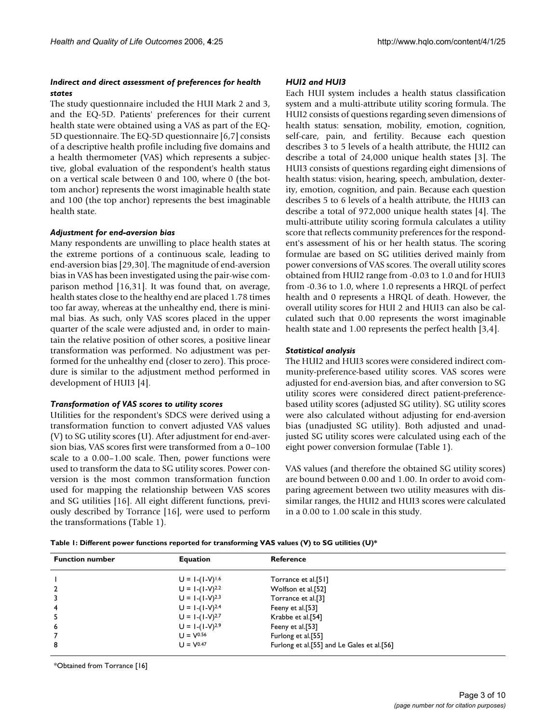#### *Indirect and direct assessment of preferences for health states*

The study questionnaire included the HUI Mark 2 and 3, and the EQ-5D. Patients' preferences for their current health state were obtained using a VAS as part of the EQ-5D questionnaire. The EQ-5D questionnaire [6,7] consists of a descriptive health profile including five domains and a health thermometer (VAS) which represents a subjective, global evaluation of the respondent's health status on a vertical scale between 0 and 100, where 0 (the bottom anchor) represents the worst imaginable health state and 100 (the top anchor) represents the best imaginable health state.

#### *Adjustment for end-aversion bias*

Many respondents are unwilling to place health states at the extreme portions of a continuous scale, leading to end-aversion bias [29,30]. The magnitude of end-aversion bias in VAS has been investigated using the pair-wise comparison method [16,31]. It was found that, on average, health states close to the healthy end are placed 1.78 times too far away, whereas at the unhealthy end, there is minimal bias. As such, only VAS scores placed in the upper quarter of the scale were adjusted and, in order to maintain the relative position of other scores, a positive linear transformation was performed. No adjustment was performed for the unhealthy end (closer to zero). This procedure is similar to the adjustment method performed in development of HUI3 [4].

#### *Transformation of VAS scores to utility scores*

Utilities for the respondent's SDCS were derived using a transformation function to convert adjusted VAS values (V) to SG utility scores (U). After adjustment for end-aversion bias, VAS scores first were transformed from a 0–100 scale to a 0.00–1.00 scale. Then, power functions were used to transform the data to SG utility scores. Power conversion is the most common transformation function used for mapping the relationship between VAS scores and SG utilities [16]. All eight different functions, previously described by Torrance [16], were used to perform the transformations (Table 1).

#### *HUI2 and HUI3*

Each HUI system includes a health status classification system and a multi-attribute utility scoring formula. The HUI2 consists of questions regarding seven dimensions of health status: sensation, mobility, emotion, cognition, self-care, pain, and fertility. Because each question describes 3 to 5 levels of a health attribute, the HUI2 can describe a total of 24,000 unique health states [3]. The HUI3 consists of questions regarding eight dimensions of health status: vision, hearing, speech, ambulation, dexterity, emotion, cognition, and pain. Because each question describes 5 to 6 levels of a health attribute, the HUI3 can describe a total of 972,000 unique health states [4]. The multi-attribute utility scoring formula calculates a utility score that reflects community preferences for the respondent's assessment of his or her health status. The scoring formulae are based on SG utilities derived mainly from power conversions of VAS scores. The overall utility scores obtained from HUI2 range from -0.03 to 1.0 and for HUI3 from -0.36 to 1.0, where 1.0 represents a HRQL of perfect health and 0 represents a HRQL of death. However, the overall utility scores for HUI 2 and HUI3 can also be calculated such that 0.00 represents the worst imaginable health state and 1.00 represents the perfect health [3,4].

#### *Statistical analysis*

The HUI2 and HUI3 scores were considered indirect community-preference-based utility scores. VAS scores were adjusted for end-aversion bias, and after conversion to SG utility scores were considered direct patient-preferencebased utility scores (adjusted SG utility). SG utility scores were also calculated without adjusting for end-aversion bias (unadjusted SG utility). Both adjusted and unadjusted SG utility scores were calculated using each of the eight power conversion formulae (Table 1).

VAS values (and therefore the obtained SG utility scores) are bound between 0.00 and 1.00. In order to avoid comparing agreement between two utility measures with dissimilar ranges, the HUI2 and HUI3 scores were calculated in a 0.00 to 1.00 scale in this study.

| Table 1: Different power functions reported for transforming VAS values (V) to SG utilities (U)* |  |  |  |
|--------------------------------------------------------------------------------------------------|--|--|--|
|                                                                                                  |  |  |  |

| <b>Function number</b> | <b>Equation</b>     | <b>Reference</b>                           |
|------------------------|---------------------|--------------------------------------------|
|                        | $U = 1-(1-V)^{1.6}$ | Torrance et al.[51]                        |
| $\overline{2}$         | $U = 1-(1-V)^{2.2}$ | Wolfson et al.[52]                         |
| 3                      | $U = 1-(1-V)^{2.3}$ | Torrance et al.[3]                         |
| $\overline{4}$         | $U = 1-(1-V)^{2.4}$ | Feeny et al.[53]                           |
| 5                      | $U = 1-(1-V)^{2.7}$ | Krabbe et al.[54]                          |
| 6                      | $U = 1-(1-V)^{2.9}$ | Feeny et al.[53]                           |
|                        | $U = V^{0.56}$      | Furlong et al.[55]                         |
| 8                      | $U = V^{0.47}$      | Furlong et al.[55] and Le Gales et al.[56] |

\*Obtained from Torrance [16]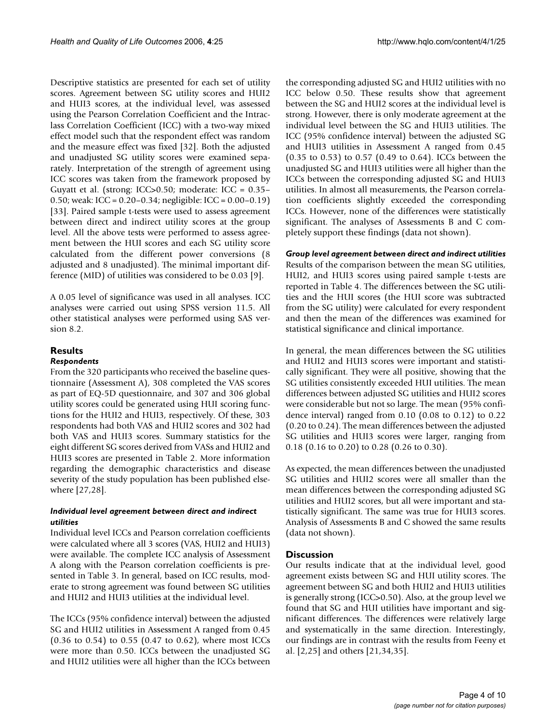Descriptive statistics are presented for each set of utility scores. Agreement between SG utility scores and HUI2 and HUI3 scores, at the individual level, was assessed using the Pearson Correlation Coefficient and the Intraclass Correlation Coefficient (ICC) with a two-way mixed effect model such that the respondent effect was random and the measure effect was fixed [32]. Both the adjusted and unadjusted SG utility scores were examined separately. Interpretation of the strength of agreement using ICC scores was taken from the framework proposed by Guyatt et al. (strong: ICC>0.50; moderate: ICC = 0.35– 0.50; weak: ICC =  $0.20 - 0.34$ ; negligible: ICC =  $0.00 - 0.19$ ) [33]. Paired sample t-tests were used to assess agreement between direct and indirect utility scores at the group level. All the above tests were performed to assess agreement between the HUI scores and each SG utility score calculated from the different power conversions (8 adjusted and 8 unadjusted). The minimal important difference (MID) of utilities was considered to be 0.03 [9].

A 0.05 level of significance was used in all analyses. ICC analyses were carried out using SPSS version 11.5. All other statistical analyses were performed using SAS version 8.2.

#### **Results**

#### *Respondents*

From the 320 participants who received the baseline questionnaire (Assessment A), 308 completed the VAS scores as part of EQ-5D questionnaire, and 307 and 306 global utility scores could be generated using HUI scoring functions for the HUI2 and HUI3, respectively. Of these, 303 respondents had both VAS and HUI2 scores and 302 had both VAS and HUI3 scores. Summary statistics for the eight different SG scores derived from VASs and HUI2 and HUI3 scores are presented in Table 2. More information regarding the demographic characteristics and disease severity of the study population has been published elsewhere [27,28].

#### *Individual level agreement between direct and indirect utilities*

Individual level ICCs and Pearson correlation coefficients were calculated where all 3 scores (VAS, HUI2 and HUI3) were available. The complete ICC analysis of Assessment A along with the Pearson correlation coefficients is presented in Table 3. In general, based on ICC results, moderate to strong agreement was found between SG utilities and HUI2 and HUI3 utilities at the individual level.

The ICCs (95% confidence interval) between the adjusted SG and HUI2 utilities in Assessment A ranged from 0.45 (0.36 to 0.54) to 0.55 (0.47 to 0.62), where most ICCs were more than 0.50. ICCs between the unadjusted SG and HUI2 utilities were all higher than the ICCs between

the corresponding adjusted SG and HUI2 utilities with no ICC below 0.50. These results show that agreement between the SG and HUI2 scores at the individual level is strong. However, there is only moderate agreement at the individual level between the SG and HUI3 utilities. The ICC (95% confidence interval) between the adjusted SG and HUI3 utilities in Assessment A ranged from 0.45 (0.35 to 0.53) to 0.57 (0.49 to 0.64). ICCs between the unadjusted SG and HUI3 utilities were all higher than the ICCs between the corresponding adjusted SG and HUI3 utilities. In almost all measurements, the Pearson correlation coefficients slightly exceeded the corresponding ICCs. However, none of the differences were statistically significant. The analyses of Assessments B and C completely support these findings (data not shown).

### *Group level agreement between direct and indirect utilities*

Results of the comparison between the mean SG utilities, HUI2, and HUI3 scores using paired sample t-tests are reported in Table 4. The differences between the SG utilities and the HUI scores (the HUI score was subtracted from the SG utility) were calculated for every respondent and then the mean of the differences was examined for statistical significance and clinical importance.

In general, the mean differences between the SG utilities and HUI2 and HUI3 scores were important and statistically significant. They were all positive, showing that the SG utilities consistently exceeded HUI utilities. The mean differences between adjusted SG utilities and HUI2 scores were considerable but not so large. The mean (95% confidence interval) ranged from 0.10 (0.08 to 0.12) to 0.22 (0.20 to 0.24). The mean differences between the adjusted SG utilities and HUI3 scores were larger, ranging from 0.18 (0.16 to 0.20) to 0.28 (0.26 to 0.30).

As expected, the mean differences between the unadjusted SG utilities and HUI2 scores were all smaller than the mean differences between the corresponding adjusted SG utilities and HUI2 scores, but all were important and statistically significant. The same was true for HUI3 scores. Analysis of Assessments B and C showed the same results (data not shown).

#### **Discussion**

Our results indicate that at the individual level, good agreement exists between SG and HUI utility scores. The agreement between SG and both HUI2 and HUI3 utilities is generally strong (ICC>0.50). Also, at the group level we found that SG and HUI utilities have important and significant differences. The differences were relatively large and systematically in the same direction. Interestingly, our findings are in contrast with the results from Feeny et al. [2,25] and others [21,34,35].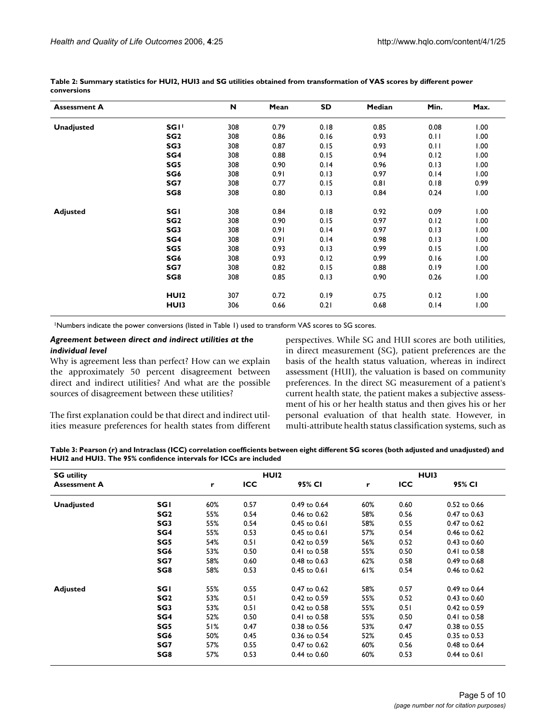| <b>Assessment A</b> |                  | N   | Mean | SD   | Median | Min. | Max. |
|---------------------|------------------|-----|------|------|--------|------|------|
| <b>Unadjusted</b>   | <b>SGII</b>      | 308 | 0.79 | 0.18 | 0.85   | 0.08 | 1.00 |
|                     | SG <sub>2</sub>  | 308 | 0.86 | 0.16 | 0.93   | 0.11 | 1.00 |
|                     | SG <sub>3</sub>  | 308 | 0.87 | 0.15 | 0.93   | 0.11 | 1.00 |
|                     | SG4              | 308 | 0.88 | 0.15 | 0.94   | 0.12 | 00.1 |
|                     | SG5              | 308 | 0.90 | 0.14 | 0.96   | 0.13 | 1.00 |
|                     | SG6              | 308 | 0.91 | 0.13 | 0.97   | 0.14 | 00.1 |
|                     | SG7              | 308 | 0.77 | 0.15 | 0.81   | 0.18 | 0.99 |
|                     | SG8              | 308 | 0.80 | 0.13 | 0.84   | 0.24 | 1.00 |
| <b>Adjusted</b>     | <b>SGI</b>       | 308 | 0.84 | 0.18 | 0.92   | 0.09 | 1.00 |
|                     | SG <sub>2</sub>  | 308 | 0.90 | 0.15 | 0.97   | 0.12 | 00.1 |
|                     | SG <sub>3</sub>  | 308 | 0.91 | 0.14 | 0.97   | 0.13 | 1.00 |
|                     | SG4              | 308 | 0.91 | 0.14 | 0.98   | 0.13 | 1.00 |
|                     | SG5              | 308 | 0.93 | 0.13 | 0.99   | 0.15 | 1.00 |
|                     | SG6              | 308 | 0.93 | 0.12 | 0.99   | 0.16 | 1.00 |
|                     | SG7              | 308 | 0.82 | 0.15 | 0.88   | 0.19 | 1.00 |
|                     | SG8              | 308 | 0.85 | 0.13 | 0.90   | 0.26 | 1.00 |
|                     | HUI <sub>2</sub> | 307 | 0.72 | 0.19 | 0.75   | 0.12 | 1.00 |
|                     | HUI3             | 306 | 0.66 | 0.21 | 0.68   | 0.14 | 00.1 |

**Table 2: Summary statistics for HUI2, HUI3 and SG utilities obtained from transformation of VAS scores by different power conversions**

1Numbers indicate the power conversions (listed in Table 1) used to transform VAS scores to SG scores.

#### *Agreement between direct and indirect utilities at the individual level*

Why is agreement less than perfect? How can we explain the approximately 50 percent disagreement between direct and indirect utilities? And what are the possible sources of disagreement between these utilities?

The first explanation could be that direct and indirect utilities measure preferences for health states from different perspectives. While SG and HUI scores are both utilities, in direct measurement (SG), patient preferences are the basis of the health status valuation, whereas in indirect assessment (HUI), the valuation is based on community preferences. In the direct SG measurement of a patient's current health state, the patient makes a subjective assessment of his or her health status and then gives his or her personal evaluation of that health state. However, in multi-attribute health status classification systems, such as

**Table 3: Pearson (r) and Intraclass (ICC) correlation coefficients between eight different SG scores (both adjusted and unadjusted) and HUI2 and HUI3. The 95% confidence intervals for ICCs are included**

| <b>SG utility</b>   |                 |     | HU <sub>12</sub> |                  |     | HU <sub>13</sub> |                  |
|---------------------|-----------------|-----|------------------|------------------|-----|------------------|------------------|
| <b>Assessment A</b> |                 | r   | ICC              | 95% CI           | r   | ICC              | 95% CI           |
| <b>Unadjusted</b>   | <b>SGI</b>      | 60% | 0.57             | 0.49 to 0.64     | 60% | 0.60             | 0.52 to 0.66     |
|                     | SG <sub>2</sub> | 55% | 0.54             | 0.46 to 0.62     | 58% | 0.56             | 0.47 to 0.63     |
|                     | SG <sub>3</sub> | 55% | 0.54             | 0.45 to 0.61     | 58% | 0.55             | 0.47 to 0.62     |
|                     | SG4             | 55% | 0.53             | $0.45$ to $0.61$ | 57% | 0.54             | 0.46 to 0.62     |
|                     | SG5             | 54% | 0.51             | 0.42 to 0.59     | 56% | 0.52             | $0.43$ to $0.60$ |
|                     | SG6             | 53% | 0.50             | 0.41 to 0.58     | 55% | 0.50             | 0.41 to 0.58     |
|                     | SG7             | 58% | 0.60             | 0.48 to 0.63     | 62% | 0.58             | 0.49 to 0.68     |
|                     | SG8             | 58% | 0.53             | $0.45$ to $0.61$ | 61% | 0.54             | 0.46 to 0.62     |
| <b>Adjusted</b>     | <b>SGI</b>      | 55% | 0.55             | 0.47 to 0.62     | 58% | 0.57             | 0.49 to 0.64     |
|                     | SG <sub>2</sub> | 53% | 0.51             | 0.42 to 0.59     | 55% | 0.52             | $0.43$ to $0.60$ |
|                     | SG <sub>3</sub> | 53% | 0.51             | 0.42 to 0.58     | 55% | 0.51             | 0.42 to 0.59     |
|                     | SG4             | 52% | 0.50             | 0.41 to 0.58     | 55% | 0.50             | 0.41 to 0.58     |
|                     | SG5             | 51% | 0.47             | 0.38 to 0.56     | 53% | 0.47             | 0.38 to 0.55     |
|                     | SG6             | 50% | 0.45             | 0.36 to 0.54     | 52% | 0.45             | 0.35 to 0.53     |
|                     | SG7             | 57% | 0.55             | 0.47 to 0.62     | 60% | 0.56             | 0.48 to 0.64     |
|                     | SG8             | 57% | 0.53             | 0.44 to 0.60     | 60% | 0.53             | 0.44 to 0.61     |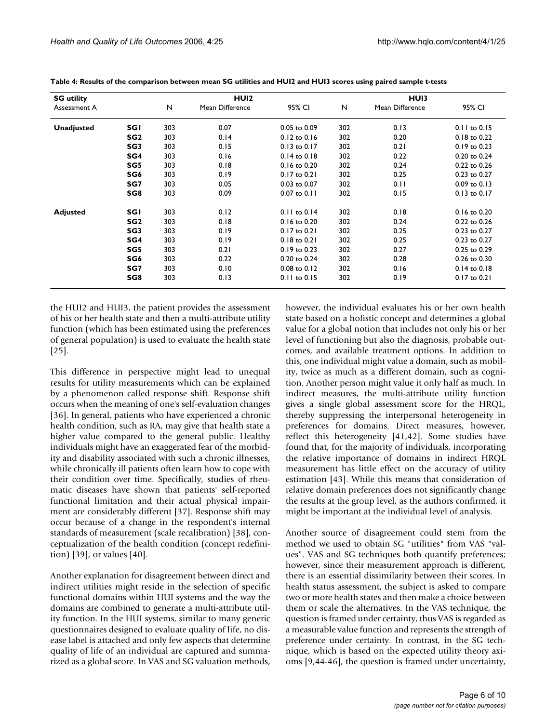| <b>SG utility</b> |                 |     | HUI2            |                  |     | HU <sub>13</sub> |                  |
|-------------------|-----------------|-----|-----------------|------------------|-----|------------------|------------------|
| Assessment A      |                 | N   | Mean Difference | 95% CI           | N   | Mean Difference  | 95% CI           |
| <b>Unadjusted</b> | <b>SGI</b>      | 303 | 0.07            | $0.05$ to $0.09$ | 302 | 0.13             | $0.11$ to $0.15$ |
|                   | SG <sub>2</sub> | 303 | 0.14            | $0.12$ to $0.16$ | 302 | 0.20             | $0.18$ to $0.22$ |
|                   | SG <sub>3</sub> | 303 | 0.15            | $0.13$ to $0.17$ | 302 | 0.21             | $0.19$ to $0.23$ |
|                   | SG4             | 303 | 0.16            | $0.14$ to $0.18$ | 302 | 0.22             | 0.20 to 0.24     |
|                   | SG5             | 303 | 0.18            | $0.16$ to $0.20$ | 302 | 0.24             | 0.22 to 0.26     |
|                   | SG6             | 303 | 0.19            | 0.17 to 0.21     | 302 | 0.25             | 0.23 to 0.27     |
|                   | SG7             | 303 | 0.05            | 0.03 to 0.07     | 302 | 0.11             | $0.09$ to $0.13$ |
|                   | SG8             | 303 | 0.09            | $0.07$ to $0.11$ | 302 | 0.15             | $0.13$ to $0.17$ |
| <b>Adjusted</b>   | <b>SGI</b>      | 303 | 0.12            | $0.11$ to $0.14$ | 302 | 0.18             | $0.16$ to $0.20$ |
|                   | SG <sub>2</sub> | 303 | 0.18            | $0.16$ to $0.20$ | 302 | 0.24             | 0.22 to 0.26     |
|                   | SG <sub>3</sub> | 303 | 0.19            | 0.17 to 0.21     | 302 | 0.25             | 0.23 to 0.27     |
|                   | SG4             | 303 | 0.19            | 0.18 to 0.21     | 302 | 0.25             | 0.23 to 0.27     |
|                   | SG5             | 303 | 0.21            | 0.19 to 0.23     | 302 | 0.27             | 0.25 to 0.29     |
|                   | SG6             | 303 | 0.22            | 0.20 to 0.24     | 302 | 0.28             | $0.26$ to $0.30$ |
|                   | SG7             | 303 | 0.10            | 0.08 to 0.12     | 302 | 0.16             | $0.14$ to $0.18$ |
|                   | SG8             | 303 | 0.13            | $0.11$ to $0.15$ | 302 | 0.19             | $0.17$ to $0.21$ |

**Table 4: Results of the comparison between mean SG utilities and HUI2 and HUI3 scores using paired sample t-tests**

the HUI2 and HUI3, the patient provides the assessment of his or her health state and then a multi-attribute utility function (which has been estimated using the preferences of general population) is used to evaluate the health state [25].

This difference in perspective might lead to unequal results for utility measurements which can be explained by a phenomenon called response shift. Response shift occurs when the meaning of one's self-evaluation changes [36]. In general, patients who have experienced a chronic health condition, such as RA, may give that health state a higher value compared to the general public. Healthy individuals might have an exaggerated fear of the morbidity and disability associated with such a chronic illnesses, while chronically ill patients often learn how to cope with their condition over time. Specifically, studies of rheumatic diseases have shown that patients' self-reported functional limitation and their actual physical impairment are considerably different [37]. Response shift may occur because of a change in the respondent's internal standards of measurement (scale recalibration) [38], conceptualization of the health condition (concept redefinition) [39], or values [40].

Another explanation for disagreement between direct and indirect utilities might reside in the selection of specific functional domains within HUI systems and the way the domains are combined to generate a multi-attribute utility function. In the HUI systems, similar to many generic questionnaires designed to evaluate quality of life, no disease label is attached and only few aspects that determine quality of life of an individual are captured and summarized as a global score. In VAS and SG valuation methods,

however, the individual evaluates his or her own health state based on a holistic concept and determines a global value for a global notion that includes not only his or her level of functioning but also the diagnosis, probable outcomes, and available treatment options. In addition to this, one individual might value a domain, such as mobility, twice as much as a different domain, such as cognition. Another person might value it only half as much. In indirect measures, the multi-attribute utility function gives a single global assessment score for the HRQL, thereby suppressing the interpersonal heterogeneity in preferences for domains. Direct measures, however, reflect this heterogeneity [41,42]. Some studies have found that, for the majority of individuals, incorporating the relative importance of domains in indirect HRQL measurement has little effect on the accuracy of utility estimation [43]. While this means that consideration of relative domain preferences does not significantly change the results at the group level, as the authors confirmed, it might be important at the individual level of analysis.

Another source of disagreement could stem from the method we used to obtain SG "utilities" from VAS "values". VAS and SG techniques both quantify preferences; however, since their measurement approach is different, there is an essential dissimilarity between their scores. In health status assessment, the subject is asked to compare two or more health states and then make a choice between them or scale the alternatives. In the VAS technique, the question is framed under certainty, thus VAS is regarded as a measurable value function and represents the strength of preference under certainty. In contrast, in the SG technique, which is based on the expected utility theory axioms [9,44-46], the question is framed under uncertainty,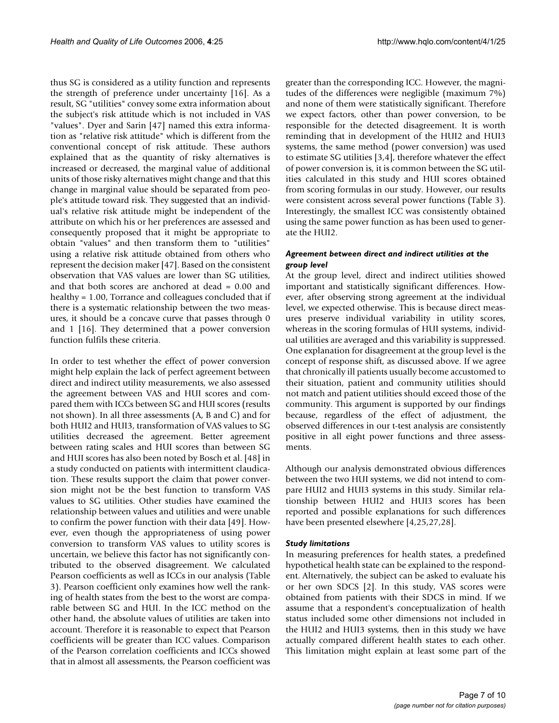thus SG is considered as a utility function and represents the strength of preference under uncertainty [16]. As a result, SG "utilities" convey some extra information about the subject's risk attitude which is not included in VAS "values". Dyer and Sarin [47] named this extra information as "relative risk attitude" which is different from the conventional concept of risk attitude. These authors explained that as the quantity of risky alternatives is increased or decreased, the marginal value of additional units of those risky alternatives might change and that this change in marginal value should be separated from people's attitude toward risk. They suggested that an individual's relative risk attitude might be independent of the attribute on which his or her preferences are assessed and consequently proposed that it might be appropriate to obtain "values" and then transform them to "utilities" using a relative risk attitude obtained from others who represent the decision maker [47]. Based on the consistent observation that VAS values are lower than SG utilities, and that both scores are anchored at dead = 0.00 and healthy = 1.00, Torrance and colleagues concluded that if there is a systematic relationship between the two measures, it should be a concave curve that passes through 0 and 1 [16]. They determined that a power conversion function fulfils these criteria.

In order to test whether the effect of power conversion might help explain the lack of perfect agreement between direct and indirect utility measurements, we also assessed the agreement between VAS and HUI scores and compared them with ICCs between SG and HUI scores (results not shown). In all three assessments (A, B and C) and for both HUI2 and HUI3, transformation of VAS values to SG utilities decreased the agreement. Better agreement between rating scales and HUI scores than between SG and HUI scores has also been noted by Bosch et al. [48] in a study conducted on patients with intermittent claudication. These results support the claim that power conversion might not be the best function to transform VAS values to SG utilities. Other studies have examined the relationship between values and utilities and were unable to confirm the power function with their data [49]. However, even though the appropriateness of using power conversion to transform VAS values to utility scores is uncertain, we believe this factor has not significantly contributed to the observed disagreement. We calculated Pearson coefficients as well as ICCs in our analysis (Table 3). Pearson coefficient only examines how well the ranking of health states from the best to the worst are comparable between SG and HUI. In the ICC method on the other hand, the absolute values of utilities are taken into account. Therefore it is reasonable to expect that Pearson coefficients will be greater than ICC values. Comparison of the Pearson correlation coefficients and ICCs showed that in almost all assessments, the Pearson coefficient was

greater than the corresponding ICC. However, the magnitudes of the differences were negligible (maximum 7%) and none of them were statistically significant. Therefore we expect factors, other than power conversion, to be responsible for the detected disagreement. It is worth reminding that in development of the HUI2 and HUI3 systems, the same method (power conversion) was used to estimate SG utilities [3,4], therefore whatever the effect of power conversion is, it is common between the SG utilities calculated in this study and HUI scores obtained from scoring formulas in our study. However, our results were consistent across several power functions (Table 3). Interestingly, the smallest ICC was consistently obtained using the same power function as has been used to generate the HUI2.

#### *Agreement between direct and indirect utilities at the group level*

At the group level, direct and indirect utilities showed important and statistically significant differences. However, after observing strong agreement at the individual level, we expected otherwise. This is because direct measures preserve individual variability in utility scores, whereas in the scoring formulas of HUI systems, individual utilities are averaged and this variability is suppressed. One explanation for disagreement at the group level is the concept of response shift, as discussed above. If we agree that chronically ill patients usually become accustomed to their situation, patient and community utilities should not match and patient utilities should exceed those of the community. This argument is supported by our findings because, regardless of the effect of adjustment, the observed differences in our t-test analysis are consistently positive in all eight power functions and three assessments.

Although our analysis demonstrated obvious differences between the two HUI systems, we did not intend to compare HUI2 and HUI3 systems in this study. Similar relationship between HUI2 and HUI3 scores has been reported and possible explanations for such differences have been presented elsewhere [4,25,27,28].

#### *Study limitations*

In measuring preferences for health states, a predefined hypothetical health state can be explained to the respondent. Alternatively, the subject can be asked to evaluate his or her own SDCS [2]. In this study, VAS scores were obtained from patients with their SDCS in mind. If we assume that a respondent's conceptualization of health status included some other dimensions not included in the HUI2 and HUI3 systems, then in this study we have actually compared different health states to each other. This limitation might explain at least some part of the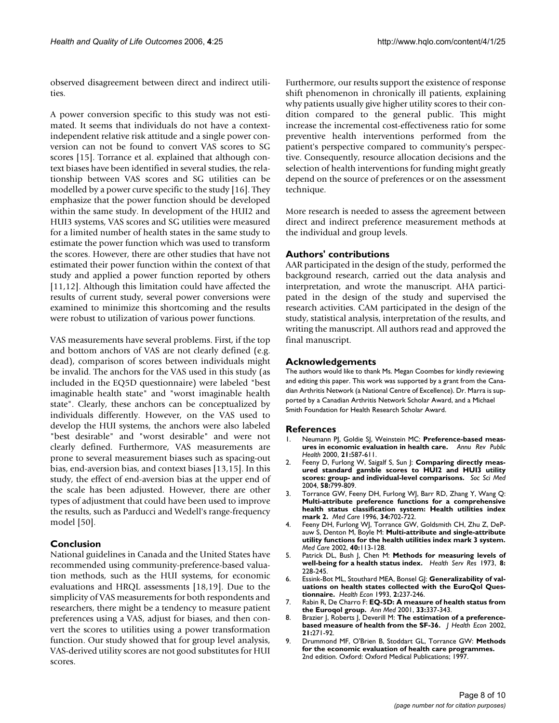observed disagreement between direct and indirect utilities.

A power conversion specific to this study was not estimated. It seems that individuals do not have a contextindependent relative risk attitude and a single power conversion can not be found to convert VAS scores to SG scores [15]. Torrance et al. explained that although context biases have been identified in several studies, the relationship between VAS scores and SG utilities can be modelled by a power curve specific to the study [16]. They emphasize that the power function should be developed within the same study. In development of the HUI2 and HUI3 systems, VAS scores and SG utilities were measured for a limited number of health states in the same study to estimate the power function which was used to transform the scores. However, there are other studies that have not estimated their power function within the context of that study and applied a power function reported by others [11,12]. Although this limitation could have affected the results of current study, several power conversions were examined to minimize this shortcoming and the results were robust to utilization of various power functions.

VAS measurements have several problems. First, if the top and bottom anchors of VAS are not clearly defined (e.g. dead), comparison of scores between individuals might be invalid. The anchors for the VAS used in this study (as included in the EQ5D questionnaire) were labeled "best imaginable health state" and "worst imaginable health state". Clearly, these anchors can be conceptualized by individuals differently. However, on the VAS used to develop the HUI systems, the anchors were also labeled "best desirable" and "worst desirable" and were not clearly defined. Furthermore, VAS measurements are prone to several measurement biases such as spacing-out bias, end-aversion bias, and context biases [13,15]. In this study, the effect of end-aversion bias at the upper end of the scale has been adjusted. However, there are other types of adjustment that could have been used to improve the results, such as Parducci and Wedell's range-frequency model [50].

#### **Conclusion**

National guidelines in Canada and the United States have recommended using community-preference-based valuation methods, such as the HUI systems, for economic evaluations and HRQL assessments [18,19]. Due to the simplicity of VAS measurements for both respondents and researchers, there might be a tendency to measure patient preferences using a VAS, adjust for biases, and then convert the scores to utilities using a power transformation function. Our study showed that for group level analysis, VAS-derived utility scores are not good substitutes for HUI scores.

Furthermore, our results support the existence of response shift phenomenon in chronically ill patients, explaining why patients usually give higher utility scores to their condition compared to the general public. This might increase the incremental cost-effectiveness ratio for some preventive health interventions performed from the patient's perspective compared to community's perspective. Consequently, resource allocation decisions and the selection of health interventions for funding might greatly depend on the source of preferences or on the assessment technique.

More research is needed to assess the agreement between direct and indirect preference measurement methods at the individual and group levels.

#### **Authors' contributions**

AAR participated in the design of the study, performed the background research, carried out the data analysis and interpretation, and wrote the manuscript. AHA participated in the design of the study and supervised the research activities. CAM participated in the design of the study, statistical analysis, interpretation of the results, and writing the manuscript. All authors read and approved the final manuscript.

#### **Acknowledgements**

The authors would like to thank Ms. Megan Coombes for kindly reviewing and editing this paper. This work was supported by a grant from the Canadian Arthritis Network (a National Centre of Excellence). Dr. Marra is supported by a Canadian Arthritis Network Scholar Award, and a Michael Smith Foundation for Health Research Scholar Award.

#### **References**

- 1. Neumann PJ, Goldie SJ, Weinstein MC: **[Preference-based meas](http://www.ncbi.nlm.nih.gov/entrez/query.fcgi?cmd=Retrieve&db=PubMed&dopt=Abstract&list_uids=10884966)[ures in economic evaluation in health care.](http://www.ncbi.nlm.nih.gov/entrez/query.fcgi?cmd=Retrieve&db=PubMed&dopt=Abstract&list_uids=10884966)** *Annu Rev Public Health* 2000, **21:**587-611.
- 2. Feeny D, Furlong W, Saigalf S, Sun J: **[Comparing directly meas](http://www.ncbi.nlm.nih.gov/entrez/query.fcgi?cmd=Retrieve&db=PubMed&dopt=Abstract&list_uids=14672594)[ured standard gamble scores to HUI2 and HUI3 utility](http://www.ncbi.nlm.nih.gov/entrez/query.fcgi?cmd=Retrieve&db=PubMed&dopt=Abstract&list_uids=14672594) [scores: group- and individual-level comparisons.](http://www.ncbi.nlm.nih.gov/entrez/query.fcgi?cmd=Retrieve&db=PubMed&dopt=Abstract&list_uids=14672594)** *Soc Sci Med* 2004, **58:**799-809.
- 3. Torrance GW, Feeny DH, Furlong WJ, Barr RD, Zhang Y, Wang Q: **[Multi-attribute preference functions for a comprehensive](http://www.ncbi.nlm.nih.gov/entrez/query.fcgi?cmd=Retrieve&db=PubMed&dopt=Abstract&list_uids=8676608) health status classification system: Health utilities index [mark 2.](http://www.ncbi.nlm.nih.gov/entrez/query.fcgi?cmd=Retrieve&db=PubMed&dopt=Abstract&list_uids=8676608)** *Med Care* 1996, **34:**702-722.
- 4. Feeny DH, Furlong WJ, Torrance GW, Goldsmith CH, Zhu Z, DePauw S, Denton M, Boyle M: **[Multi-attribute and single-attribute](http://www.ncbi.nlm.nih.gov/entrez/query.fcgi?cmd=Retrieve&db=PubMed&dopt=Abstract&list_uids=11802084) [utility functions for the health utilities index mark 3 system.](http://www.ncbi.nlm.nih.gov/entrez/query.fcgi?cmd=Retrieve&db=PubMed&dopt=Abstract&list_uids=11802084)** *Med Care* 2002, **40:**113-128.
- 5. Patrick DL, Bush J, Chen M: **[Methods for measuring levels of](http://www.ncbi.nlm.nih.gov/entrez/query.fcgi?cmd=Retrieve&db=PubMed&dopt=Abstract&list_uids=4761617) [well-being for a health status index.](http://www.ncbi.nlm.nih.gov/entrez/query.fcgi?cmd=Retrieve&db=PubMed&dopt=Abstract&list_uids=4761617)** *Health Serv Res* 1973, **8:** 228-245.
- 6. Essink-Bot ML, Stouthard MEA, Bonsel G|: [Generalizability of val](http://www.ncbi.nlm.nih.gov/entrez/query.fcgi?cmd=Retrieve&db=PubMed&dopt=Abstract&list_uids=8275169)**[uations on health states collected with the EuroQol Ques](http://www.ncbi.nlm.nih.gov/entrez/query.fcgi?cmd=Retrieve&db=PubMed&dopt=Abstract&list_uids=8275169)[tionnaire.](http://www.ncbi.nlm.nih.gov/entrez/query.fcgi?cmd=Retrieve&db=PubMed&dopt=Abstract&list_uids=8275169)** *Health Econ* 1993, **2:**237-246.
- 7. Rabin R, De Charro F: **[EQ-5D: A measure of health status from](http://www.ncbi.nlm.nih.gov/entrez/query.fcgi?cmd=Retrieve&db=PubMed&dopt=Abstract&list_uids=11491192) [the Euroqol group.](http://www.ncbi.nlm.nih.gov/entrez/query.fcgi?cmd=Retrieve&db=PubMed&dopt=Abstract&list_uids=11491192)** *Ann Med* 2001, **33:**337-343.
- 8. Brazier J, Roberts J, Deverill M: **[The estimation of a preference](http://www.ncbi.nlm.nih.gov/entrez/query.fcgi?cmd=Retrieve&db=PubMed&dopt=Abstract&list_uids=11939242)[based measure of health from the SF-36.](http://www.ncbi.nlm.nih.gov/entrez/query.fcgi?cmd=Retrieve&db=PubMed&dopt=Abstract&list_uids=11939242)** *J Health Econ* 2002, **21:**271-92.
- 9. Drummond MF, O'Brien B, Stoddart GL, Torrance GW: **Methods for the economic evaluation of health care programmes.** 2nd edition. Oxford: Oxford Medical Publications; 1997.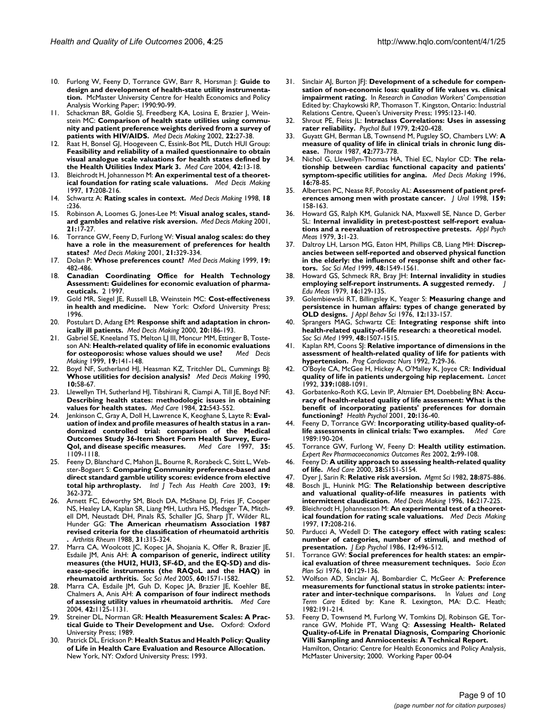- 10. Furlong W, Feeny D, Torrance GW, Barr R, Horsman J: **Guide to design and development of health-state utility instrumentation.** McMaster University Centre for Health Economics and Policy Analysis Working Paper; 1990:90-99.
- 11. Schackman BR, Goldie SJ, Freedberg KA, Losina E, Brazier J, Weinstein MC: **[Comparison of health state utilities using commu](http://www.ncbi.nlm.nih.gov/entrez/query.fcgi?cmd=Retrieve&db=PubMed&dopt=Abstract&list_uids=11833663)[nity and patient preference weights derived from a survey of](http://www.ncbi.nlm.nih.gov/entrez/query.fcgi?cmd=Retrieve&db=PubMed&dopt=Abstract&list_uids=11833663) [patients with HIV/AIDS.](http://www.ncbi.nlm.nih.gov/entrez/query.fcgi?cmd=Retrieve&db=PubMed&dopt=Abstract&list_uids=11833663)** *Med Decis Making* 2002, **22:**27-38.
- 12. Raat H, Bonsel GJ, Hoogeveen C, Essink-Bot ML, Dutch HUI Group: **[Feasibility and reliability of a mailed questionnaire to obtain](http://www.ncbi.nlm.nih.gov/entrez/query.fcgi?cmd=Retrieve&db=PubMed&dopt=Abstract&list_uids=14713735) visual analogue scale valuations for health states defined by [the Health Utilities Index Mark 3.](http://www.ncbi.nlm.nih.gov/entrez/query.fcgi?cmd=Retrieve&db=PubMed&dopt=Abstract&list_uids=14713735)** *Med Care* 2004, **42:**13-18.
- 13. Bleichrodt H, Johannesson M: **[An experimental test of a theoret](http://www.ncbi.nlm.nih.gov/entrez/query.fcgi?cmd=Retrieve&db=PubMed&dopt=Abstract&list_uids=9107617)[ical foundation for rating scale valuations.](http://www.ncbi.nlm.nih.gov/entrez/query.fcgi?cmd=Retrieve&db=PubMed&dopt=Abstract&list_uids=9107617)** *Med Decis Making* 1997, **17:**208-216.
- 14. Schwartz A: **[Rating scales in context.](http://www.ncbi.nlm.nih.gov/entrez/query.fcgi?cmd=Retrieve&db=PubMed&dopt=Abstract&list_uids=9566457)** *Med Decis Making* 1998, **18 :**236.
- 15. Robinson A, Loomes G, Jones-Lee M: **[Visual analog scales, stand](http://www.ncbi.nlm.nih.gov/entrez/query.fcgi?cmd=Retrieve&db=PubMed&dopt=Abstract&list_uids=11206943)[ard gambles and relative risk aversion.](http://www.ncbi.nlm.nih.gov/entrez/query.fcgi?cmd=Retrieve&db=PubMed&dopt=Abstract&list_uids=11206943)** *Med Decis Making* 2001, **21:**17-27.
- 16. Torrance GW, Feeny D, Furlong W: **[Visual analog scales: do they](http://www.ncbi.nlm.nih.gov/entrez/query.fcgi?cmd=Retrieve&db=PubMed&dopt=Abstract&list_uids=11475389) [have a role in the measurement of preferences for health](http://www.ncbi.nlm.nih.gov/entrez/query.fcgi?cmd=Retrieve&db=PubMed&dopt=Abstract&list_uids=11475389) [states?](http://www.ncbi.nlm.nih.gov/entrez/query.fcgi?cmd=Retrieve&db=PubMed&dopt=Abstract&list_uids=11475389)** *Med Decis Making* 2001, **21:**329-334.
- 17. Dolan P: **[Whose preferences count?](http://www.ncbi.nlm.nih.gov/entrez/query.fcgi?cmd=Retrieve&db=PubMed&dopt=Abstract&list_uids=10520686)** *Med Decis Making* 1999, **19:** 482-486.
- 18. **Canadian Coordinating Office for Health Technology Assessment: Guidelines for economic evaluation of pharmaceuticals.** 2 1997.
- 19. Gold MR, Siegel JE, Russell LB, Weinstein MC: **Cost-effectiveness in health and medicine.** New York: Oxford University Press; 1996.
- 20. Postulart D, Adang EM: **[Response shift and adaptation in chron](http://www.ncbi.nlm.nih.gov/entrez/query.fcgi?cmd=Retrieve&db=PubMed&dopt=Abstract&list_uids=10772356)[ically ill patients.](http://www.ncbi.nlm.nih.gov/entrez/query.fcgi?cmd=Retrieve&db=PubMed&dopt=Abstract&list_uids=10772356)** *Med Decis Making* 2000, **20:**186-193.
- 21. Gabriel SE, Kneeland TS, Melton LJ III, Moncur MM, Ettinger B, Tosteson AN: **[Health-related quality of life in economic evaluations](http://www.ncbi.nlm.nih.gov/entrez/query.fcgi?cmd=Retrieve&db=PubMed&dopt=Abstract&list_uids=10231076) [for osteoporosis: whose values should we use?](http://www.ncbi.nlm.nih.gov/entrez/query.fcgi?cmd=Retrieve&db=PubMed&dopt=Abstract&list_uids=10231076)** *Med Decis Making* 1999, **19:**141-148.
- 22. Boyd NF, Sutherland HJ, Heasman KZ, Tritchler DL, Cummings BJ: **[Whose utilities for decision analysis?](http://www.ncbi.nlm.nih.gov/entrez/query.fcgi?cmd=Retrieve&db=PubMed&dopt=Abstract&list_uids=2182963)** *Med Decis Making* 1990, **10:**58-67.
- Llewellyn TH, Sutherland HJ, Tibshirani R, Ciampi A, Till JE, Boyd NF: **[Describing health states: methodologic issues in obtaining](http://www.ncbi.nlm.nih.gov/entrez/query.fcgi?cmd=Retrieve&db=PubMed&dopt=Abstract&list_uids=6738144) [values for health states.](http://www.ncbi.nlm.nih.gov/entrez/query.fcgi?cmd=Retrieve&db=PubMed&dopt=Abstract&list_uids=6738144)** *Med Care* 1984, **22:**543-552.
- 24. Jenkinson C, Gray A, Doll H, Lawrence K, Keoghane S, Layte R: **[Eval](http://www.ncbi.nlm.nih.gov/entrez/query.fcgi?cmd=Retrieve&db=PubMed&dopt=Abstract&list_uids=9366890)[uation of index and profile measures of health status in a ran](http://www.ncbi.nlm.nih.gov/entrez/query.fcgi?cmd=Retrieve&db=PubMed&dopt=Abstract&list_uids=9366890)domized controlled trial: comparison of the Medical Outcomes Study 36-Item Short Form Health Survey, Euro-[Qol, and disease specific measures.](http://www.ncbi.nlm.nih.gov/entrez/query.fcgi?cmd=Retrieve&db=PubMed&dopt=Abstract&list_uids=9366890)** *Med Care* 1997, **35:** 1109-1118.
- 25. Feeny D, Blanchard C, Mahon JL, Bourne R, Rorabeck C, Stitt L, Webster-Bogaert S: **Comparing Community preference-based and direct standard gamble utility scores: evidence from elective total hip arthroplasty.** *Intl J Tech Ass Health Care* 2003, **19:** 362-372.
- 26. Arnett FC, Edworthy SM, Bloch DA, McShane DJ, Fries JF, Cooper NS, Healey LA, Kaplan SR, Liang MH, Luthra HS, Medsger TA, Mitchell DM, Neustadt DH, Pinals RS, Schaller JG, Sharp JT, Wilder RL, Hunder GG: **[The American rheumatism Association 1987](http://www.ncbi.nlm.nih.gov/entrez/query.fcgi?cmd=Retrieve&db=PubMed&dopt=Abstract&list_uids=3358796) [revised criteria for the classification of rheumatoid arthritis](http://www.ncbi.nlm.nih.gov/entrez/query.fcgi?cmd=Retrieve&db=PubMed&dopt=Abstract&list_uids=3358796) [.](http://www.ncbi.nlm.nih.gov/entrez/query.fcgi?cmd=Retrieve&db=PubMed&dopt=Abstract&list_uids=3358796)** *Arthritis Rheum* 1988, **31:**315-324.
- 27. Marra CA, Woolcott JC, Kopec JA, Shojania K, Offer R, Brazier JE, Esdaile JM, Anis AH: **[A comparison of generic, indirect utility](http://www.ncbi.nlm.nih.gov/entrez/query.fcgi?cmd=Retrieve&db=PubMed&dopt=Abstract&list_uids=15652688) [measures \(the HUI2, HUI3, SF-6D, and the EQ-5D\) and dis](http://www.ncbi.nlm.nih.gov/entrez/query.fcgi?cmd=Retrieve&db=PubMed&dopt=Abstract&list_uids=15652688)ease-specific instruments (the RAQoL and the HAQ) in [rheumatoid arthritis.](http://www.ncbi.nlm.nih.gov/entrez/query.fcgi?cmd=Retrieve&db=PubMed&dopt=Abstract&list_uids=15652688)** *Soc Sci Med* 2005, **60:**1571-1582.
- 28. Marra CA, Esdaile JM, Guh D, Kopec JA, Brazier JE, Koehler BE, Chalmers A, Anis AH: **[A comparison of four indirect methods](http://www.ncbi.nlm.nih.gov/entrez/query.fcgi?cmd=Retrieve&db=PubMed&dopt=Abstract&list_uids=15586840) [of assessing utility values in rheumatoid arthritis.](http://www.ncbi.nlm.nih.gov/entrez/query.fcgi?cmd=Retrieve&db=PubMed&dopt=Abstract&list_uids=15586840)** *Med Care* 2004, **42:**1125-1131.
- 29. Streiner DL, Norman GR: **[Health Measurement Scales: A Prac](http://www.ncbi.nlm.nih.gov/entrez/query.fcgi?cmd=Retrieve&db=PubMed&dopt=Abstract&list_uids=2761353)[tical Guide to Their Development and Use.](http://www.ncbi.nlm.nih.gov/entrez/query.fcgi?cmd=Retrieve&db=PubMed&dopt=Abstract&list_uids=2761353)** Oxford: Oxford University Press; 1989.
- 30. Patrick DL, Erickson P: **Health Status and Health Policy: Quality of Life in Health Care Evaluation and Resource Allocation.** New York, NY: Oxford University Press; 1993.
- 31. Sinclair AJ, Burton JFJ: **Development of a schedule for compensation of non-economic loss: quality of life values vs. clinical impairment rating.** In *Research in Canadian Workers' Compensation* Edited by: Chaykowski RP, Thomason T. Kingston, Ontario: Industrial Relations Centre, Queen's University Press; 1995:123-140.
- 32. Shrout PE, Fleiss JL: **Intraclass Correlations: Uses in assessing rater reliability.** *Psychol Bull* 1979, **2:**420-428.
- 33. Guyatt GH, Berman LB, Townsend M, Pugsley SO, Chambers LW: **[A](http://www.ncbi.nlm.nih.gov/entrez/query.fcgi?cmd=Retrieve&db=PubMed&dopt=Abstract&list_uids=3321537) [measure of quality of life in clinical trials in chronic lung dis](http://www.ncbi.nlm.nih.gov/entrez/query.fcgi?cmd=Retrieve&db=PubMed&dopt=Abstract&list_uids=3321537)[ease.](http://www.ncbi.nlm.nih.gov/entrez/query.fcgi?cmd=Retrieve&db=PubMed&dopt=Abstract&list_uids=3321537)** *Thorax* 1987, **42:**773-778.
- 34. Nichol G, Llewellyn-Thomas HA, Thiel EC, Naylor CD: **[The rela](http://www.ncbi.nlm.nih.gov/entrez/query.fcgi?cmd=Retrieve&db=PubMed&dopt=Abstract&list_uids=8717602)[tionship between cardiac functional capacity and patients'](http://www.ncbi.nlm.nih.gov/entrez/query.fcgi?cmd=Retrieve&db=PubMed&dopt=Abstract&list_uids=8717602) [symptom-specific utilities for angina.](http://www.ncbi.nlm.nih.gov/entrez/query.fcgi?cmd=Retrieve&db=PubMed&dopt=Abstract&list_uids=8717602)** *Med Decis Making* 1996, **16:**78-85.
- 35. Albertsen PC, Nease RF, Potosky AL: **[Assessment of patient pref](http://www.ncbi.nlm.nih.gov/entrez/query.fcgi?cmd=Retrieve&db=PubMed&dopt=Abstract&list_uids=9400461)[erences among men with prostate cancer.](http://www.ncbi.nlm.nih.gov/entrez/query.fcgi?cmd=Retrieve&db=PubMed&dopt=Abstract&list_uids=9400461)** *J Urol* 1998, **159:** 158-163.
- 36. Howard GS, Ralph KM, Gulanick NA, Maxwell SE, Nance D, Gerber SL: **Internal invalidity in pretest-posttest self-report evaluations and a reevaluation of retrospective pretests.** *Appl Psych Meas* 1979, **3:**1-23.
- 37. Daltroy LH, Larson MG, Eaton HM, Phillips CB, Liang MH: **[Discrep](http://www.ncbi.nlm.nih.gov/entrez/query.fcgi?cmd=Retrieve&db=PubMed&dopt=Abstract&list_uids=10400256)[ancies between self-reported and observed physical function](http://www.ncbi.nlm.nih.gov/entrez/query.fcgi?cmd=Retrieve&db=PubMed&dopt=Abstract&list_uids=10400256) in the elderly: the influence of response shift and other fac[tors.](http://www.ncbi.nlm.nih.gov/entrez/query.fcgi?cmd=Retrieve&db=PubMed&dopt=Abstract&list_uids=10400256)** *Soc Sci Med* 1999, **48:**1549-1561.
- 38. Howard GS, Schmeck RR, Bray JH: **Internal invalidity in studies employing self-report instruments. A suggested remedy.** *J Edu Meas* 1979, **16:**129-135.
- 39. Golembiewski RT, Billingsley K, Yeager S: **Measuring change and persistence in human affairs: types of change generated by OLD designs.** *J Appl Behav Sci* 1976, **12:**133-157.
- 40. Sprangers MAG, Schwartz CE: **[Integrating response shift into](http://www.ncbi.nlm.nih.gov/entrez/query.fcgi?cmd=Retrieve&db=PubMed&dopt=Abstract&list_uids=10400253) [health-related quality-of-life research: a theoretical model.](http://www.ncbi.nlm.nih.gov/entrez/query.fcgi?cmd=Retrieve&db=PubMed&dopt=Abstract&list_uids=10400253)** *Soc Sci Med* 1999, **48:**1507-1515.
- 41. Kaplan RM, Coons SJ: **[Relative importance of dimensions in the](http://www.ncbi.nlm.nih.gov/entrez/query.fcgi?cmd=Retrieve&db=PubMed&dopt=Abstract&list_uids=1518782) [assessment of health-related quality of life for patients with](http://www.ncbi.nlm.nih.gov/entrez/query.fcgi?cmd=Retrieve&db=PubMed&dopt=Abstract&list_uids=1518782) [hypertension.](http://www.ncbi.nlm.nih.gov/entrez/query.fcgi?cmd=Retrieve&db=PubMed&dopt=Abstract&list_uids=1518782)** *Prog Cardiovasc Nurs* 1992, **7:**29-36.
- 42. O'Boyle CA, McGee H, Hickey A, O'Malley K, Joyce CR: **[Individual](http://www.ncbi.nlm.nih.gov/entrez/query.fcgi?cmd=Retrieve&db=PubMed&dopt=Abstract&list_uids=1349111) [quality of life in patients undergoing hip replacement.](http://www.ncbi.nlm.nih.gov/entrez/query.fcgi?cmd=Retrieve&db=PubMed&dopt=Abstract&list_uids=1349111)** *Lancet* 1992, **339:**1088-1091.
- 43. Gorbatenko-Roth KG, Levin IP, Altmaier EM, Doebbeling BN: **[Accu](http://www.ncbi.nlm.nih.gov/entrez/query.fcgi?cmd=Retrieve&db=PubMed&dopt=Abstract&list_uids=11315731)[racy of health-related quality of life assessment: What is the](http://www.ncbi.nlm.nih.gov/entrez/query.fcgi?cmd=Retrieve&db=PubMed&dopt=Abstract&list_uids=11315731) benefit of incorporating patients' preferences for domain [functioning?](http://www.ncbi.nlm.nih.gov/entrez/query.fcgi?cmd=Retrieve&db=PubMed&dopt=Abstract&list_uids=11315731)** *Health Psychol* 2001, **20:**136-40.
- 44. Feeny D, Torrance GW: **Incorporating utility-based quality-oflife assessments in clinical trials: Two examples.** *Med Care* 1989:190-204.
- 45. Torrance GW, Furlong W, Feeny D: **Health utility estimation.** *Expert Rev Pharmacoeconomics Outcomes Res* 2002, **2:**99-108.
- 46. Feeny D: **A utility approach to assessing health-related quality of life.** *Med Care* 2000, **38:**S151-S154.
- 47. Dyer J, Sarin R: **Relative risk aversion.** *Mgmt Sci* 1982, **28:**875-886. 48. Bosch JL, Hunink MG: **[The Relationship between descriptive](http://www.ncbi.nlm.nih.gov/entrez/query.fcgi?cmd=Retrieve&db=PubMed&dopt=Abstract&list_uids=8818119) [and valuational quality-of-life measures in patients with](http://www.ncbi.nlm.nih.gov/entrez/query.fcgi?cmd=Retrieve&db=PubMed&dopt=Abstract&list_uids=8818119) [intermittent claudication.](http://www.ncbi.nlm.nih.gov/entrez/query.fcgi?cmd=Retrieve&db=PubMed&dopt=Abstract&list_uids=8818119)** *Med Decis Making* 1996, **16:**217-225.
- 49. Bleichrodt H, Johannesson M: **[An experimental test of a theoret](http://www.ncbi.nlm.nih.gov/entrez/query.fcgi?cmd=Retrieve&db=PubMed&dopt=Abstract&list_uids=9107617)[ical foundation for rating scale valuations.](http://www.ncbi.nlm.nih.gov/entrez/query.fcgi?cmd=Retrieve&db=PubMed&dopt=Abstract&list_uids=9107617)** *Med Decis Making* 1997, **17:**208-216.
- 50. Parducci A, Wedell D: **The category effect with rating scales: number of categories, number of stimuli, and method of presentation.** *J Exp Psychol* 1986, **12:**496-512.
- 51. Torrance GW: **Social preferences for health states: an empirical evaluation of three measurement techniques.** *Socio Econ Plan Sci* 1976, **10:**129-136.
- 52. Wolfson AD, Sinclair AJ, Bombardier C, McGeer A: **Preference measurements for functional status in stroke patients: interrater and inter-technique comparisons.** In *Values and Long Term Care* Edited by: Kane R. Lexington, MA: D.C. Heath; 1982:191-214.
- 53. Feeny D, Townsend M, Furlong W, Tomkins DJ, Robinson GE, Torrance GW, Mohide PT, Wang Q: **Assessing Health- Related Quality-of-Life in Prenatal Diagnosis, Comparing Chorionic Villi Sampling and Anmiocentesis: A Technical Report.** Hamilton, Ontario: Centre for Health Economics and Policy Analysis, McMaster University; 2000. Working Paper 00-04